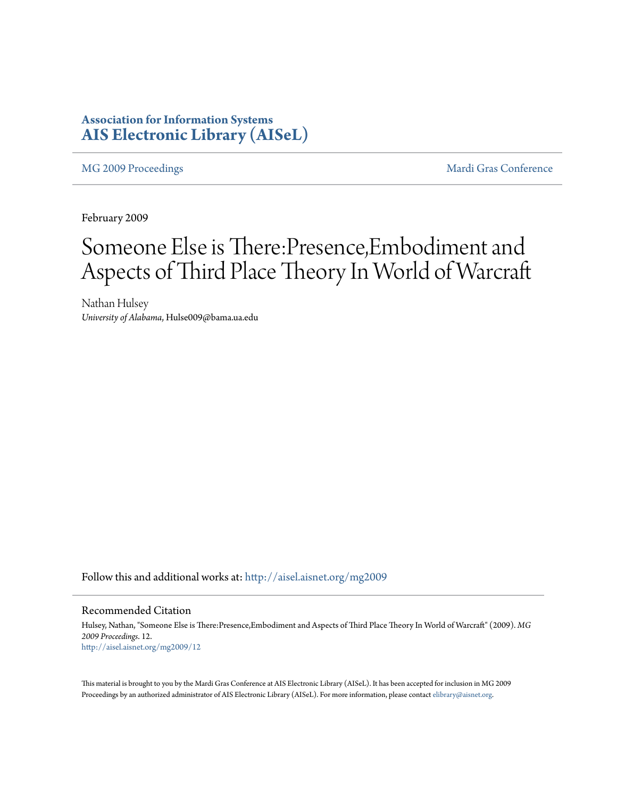### **Association for Information Systems [AIS Electronic Library \(AISeL\)](http://aisel.aisnet.org?utm_source=aisel.aisnet.org%2Fmg2009%2F12&utm_medium=PDF&utm_campaign=PDFCoverPages)**

[MG 2009 Proceedings](http://aisel.aisnet.org/mg2009?utm_source=aisel.aisnet.org%2Fmg2009%2F12&utm_medium=PDF&utm_campaign=PDFCoverPages) and the [Mardi Gras Conference](http://aisel.aisnet.org/mg?utm_source=aisel.aisnet.org%2Fmg2009%2F12&utm_medium=PDF&utm_campaign=PDFCoverPages) Mardi Gras Conference

February 2009

# Someone Else is There:Presence,Embodiment and Aspects of Third Place Theory In World of Warcraft

Nathan Hulsey *University of Alabama*, Hulse009@bama.ua.edu

Follow this and additional works at: [http://aisel.aisnet.org/mg2009](http://aisel.aisnet.org/mg2009?utm_source=aisel.aisnet.org%2Fmg2009%2F12&utm_medium=PDF&utm_campaign=PDFCoverPages)

#### Recommended Citation

Hulsey, Nathan, "Someone Else is There:Presence,Embodiment and Aspects of Third Place Theory In World of Warcraft" (2009). *MG 2009 Proceedings*. 12. [http://aisel.aisnet.org/mg2009/12](http://aisel.aisnet.org/mg2009/12?utm_source=aisel.aisnet.org%2Fmg2009%2F12&utm_medium=PDF&utm_campaign=PDFCoverPages)

This material is brought to you by the Mardi Gras Conference at AIS Electronic Library (AISeL). It has been accepted for inclusion in MG 2009 Proceedings by an authorized administrator of AIS Electronic Library (AISeL). For more information, please contact [elibrary@aisnet.org](mailto:elibrary@aisnet.org%3E).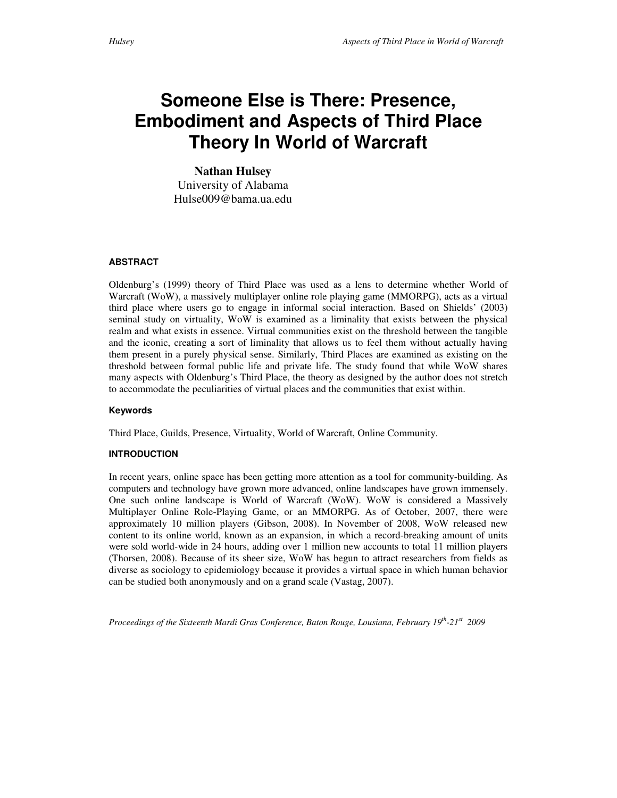## **Someone Else is There: Presence, Embodiment and Aspects of Third Place Theory In World of Warcraft**

**Nathan Hulsey**  University of Alabama Hulse009@bama.ua.edu

#### **ABSTRACT**

Oldenburg's (1999) theory of Third Place was used as a lens to determine whether World of Warcraft (WoW), a massively multiplayer online role playing game (MMORPG), acts as a virtual third place where users go to engage in informal social interaction. Based on Shields' (2003) seminal study on virtuality, WoW is examined as a liminality that exists between the physical realm and what exists in essence. Virtual communities exist on the threshold between the tangible and the iconic, creating a sort of liminality that allows us to feel them without actually having them present in a purely physical sense. Similarly, Third Places are examined as existing on the threshold between formal public life and private life. The study found that while WoW shares many aspects with Oldenburg's Third Place, the theory as designed by the author does not stretch to accommodate the peculiarities of virtual places and the communities that exist within.

#### **Keywords**

Third Place, Guilds, Presence, Virtuality, World of Warcraft, Online Community.

#### **INTRODUCTION**

In recent years, online space has been getting more attention as a tool for community-building. As computers and technology have grown more advanced, online landscapes have grown immensely. One such online landscape is World of Warcraft (WoW). WoW is considered a Massively Multiplayer Online Role-Playing Game, or an MMORPG. As of October, 2007, there were approximately 10 million players (Gibson, 2008). In November of 2008, WoW released new content to its online world, known as an expansion, in which a record-breaking amount of units were sold world-wide in 24 hours, adding over 1 million new accounts to total 11 million players (Thorsen, 2008). Because of its sheer size, WoW has begun to attract researchers from fields as diverse as sociology to epidemiology because it provides a virtual space in which human behavior can be studied both anonymously and on a grand scale (Vastag, 2007).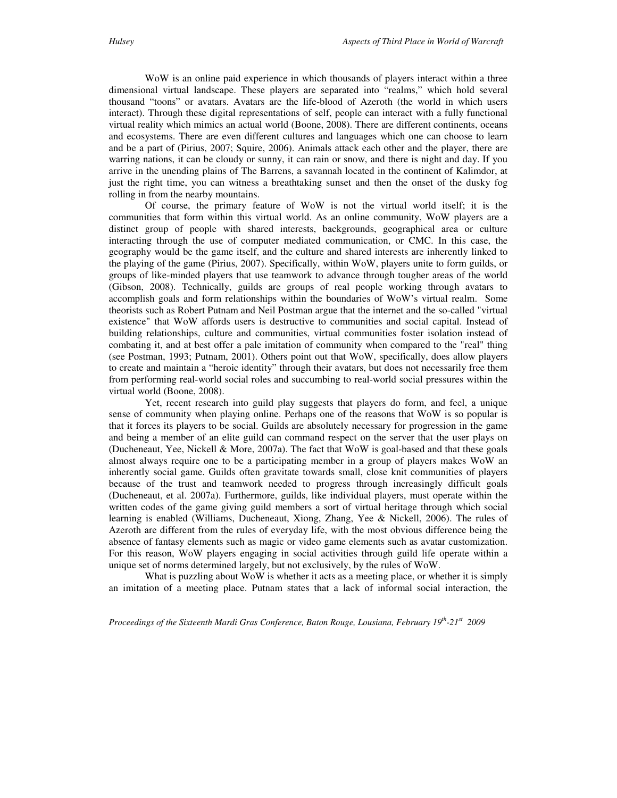WoW is an online paid experience in which thousands of players interact within a three dimensional virtual landscape. These players are separated into "realms," which hold several thousand "toons" or avatars. Avatars are the life-blood of Azeroth (the world in which users interact). Through these digital representations of self, people can interact with a fully functional virtual reality which mimics an actual world (Boone, 2008). There are different continents, oceans and ecosystems. There are even different cultures and languages which one can choose to learn and be a part of (Pirius, 2007; Squire, 2006). Animals attack each other and the player, there are warring nations, it can be cloudy or sunny, it can rain or snow, and there is night and day. If you arrive in the unending plains of The Barrens, a savannah located in the continent of Kalimdor, at just the right time, you can witness a breathtaking sunset and then the onset of the dusky fog rolling in from the nearby mountains.

 Of course, the primary feature of WoW is not the virtual world itself; it is the communities that form within this virtual world. As an online community, WoW players are a distinct group of people with shared interests, backgrounds, geographical area or culture interacting through the use of computer mediated communication, or CMC. In this case, the geography would be the game itself, and the culture and shared interests are inherently linked to the playing of the game (Pirius, 2007). Specifically, within WoW, players unite to form guilds, or groups of like-minded players that use teamwork to advance through tougher areas of the world (Gibson, 2008). Technically, guilds are groups of real people working through avatars to accomplish goals and form relationships within the boundaries of WoW's virtual realm. Some theorists such as Robert Putnam and Neil Postman argue that the internet and the so-called "virtual existence" that WoW affords users is destructive to communities and social capital. Instead of building relationships, culture and communities, virtual communities foster isolation instead of combating it, and at best offer a pale imitation of community when compared to the "real" thing (see Postman, 1993; Putnam, 2001). Others point out that WoW, specifically, does allow players to create and maintain a "heroic identity" through their avatars, but does not necessarily free them from performing real-world social roles and succumbing to real-world social pressures within the virtual world (Boone, 2008).

 Yet, recent research into guild play suggests that players do form, and feel, a unique sense of community when playing online. Perhaps one of the reasons that WoW is so popular is that it forces its players to be social. Guilds are absolutely necessary for progression in the game and being a member of an elite guild can command respect on the server that the user plays on (Ducheneaut, Yee, Nickell & More, 2007a). The fact that WoW is goal-based and that these goals almost always require one to be a participating member in a group of players makes WoW an inherently social game. Guilds often gravitate towards small, close knit communities of players because of the trust and teamwork needed to progress through increasingly difficult goals (Ducheneaut, et al. 2007a). Furthermore, guilds, like individual players, must operate within the written codes of the game giving guild members a sort of virtual heritage through which social learning is enabled (Williams, Ducheneaut, Xiong, Zhang, Yee & Nickell, 2006). The rules of Azeroth are different from the rules of everyday life, with the most obvious difference being the absence of fantasy elements such as magic or video game elements such as avatar customization. For this reason, WoW players engaging in social activities through guild life operate within a unique set of norms determined largely, but not exclusively, by the rules of WoW.

What is puzzling about WoW is whether it acts as a meeting place, or whether it is simply an imitation of a meeting place. Putnam states that a lack of informal social interaction, the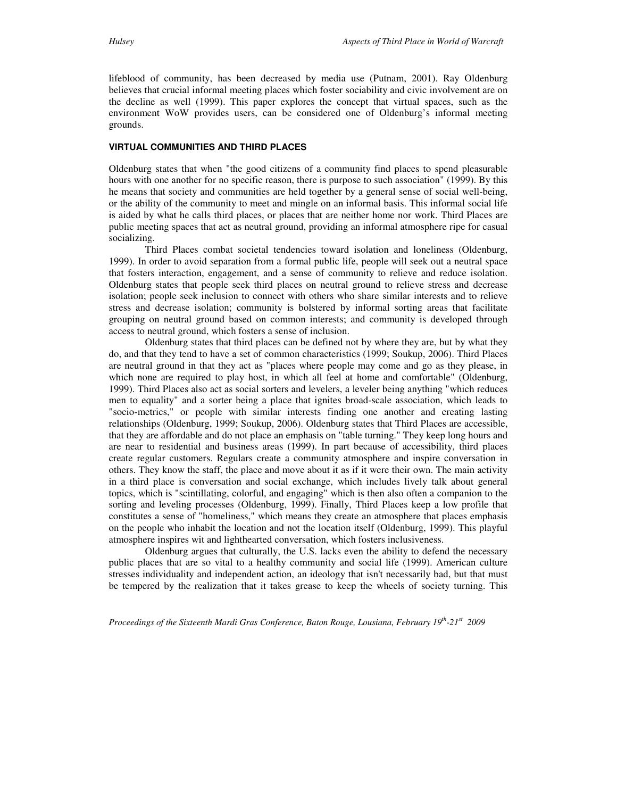lifeblood of community, has been decreased by media use (Putnam, 2001). Ray Oldenburg believes that crucial informal meeting places which foster sociability and civic involvement are on the decline as well (1999). This paper explores the concept that virtual spaces, such as the environment WoW provides users, can be considered one of Oldenburg's informal meeting grounds.

#### **VIRTUAL COMMUNITIES AND THIRD PLACES**

Oldenburg states that when "the good citizens of a community find places to spend pleasurable hours with one another for no specific reason, there is purpose to such association" (1999). By this he means that society and communities are held together by a general sense of social well-being, or the ability of the community to meet and mingle on an informal basis. This informal social life is aided by what he calls third places, or places that are neither home nor work. Third Places are public meeting spaces that act as neutral ground, providing an informal atmosphere ripe for casual socializing.

 Third Places combat societal tendencies toward isolation and loneliness (Oldenburg, 1999). In order to avoid separation from a formal public life, people will seek out a neutral space that fosters interaction, engagement, and a sense of community to relieve and reduce isolation. Oldenburg states that people seek third places on neutral ground to relieve stress and decrease isolation; people seek inclusion to connect with others who share similar interests and to relieve stress and decrease isolation; community is bolstered by informal sorting areas that facilitate grouping on neutral ground based on common interests; and community is developed through access to neutral ground, which fosters a sense of inclusion.

 Oldenburg states that third places can be defined not by where they are, but by what they do, and that they tend to have a set of common characteristics (1999; Soukup, 2006). Third Places are neutral ground in that they act as "places where people may come and go as they please, in which none are required to play host, in which all feel at home and comfortable" (Oldenburg, 1999). Third Places also act as social sorters and levelers, a leveler being anything "which reduces men to equality" and a sorter being a place that ignites broad-scale association, which leads to "socio-metrics," or people with similar interests finding one another and creating lasting relationships (Oldenburg, 1999; Soukup, 2006). Oldenburg states that Third Places are accessible, that they are affordable and do not place an emphasis on "table turning." They keep long hours and are near to residential and business areas (1999). In part because of accessibility, third places create regular customers. Regulars create a community atmosphere and inspire conversation in others. They know the staff, the place and move about it as if it were their own. The main activity in a third place is conversation and social exchange, which includes lively talk about general topics, which is "scintillating, colorful, and engaging" which is then also often a companion to the sorting and leveling processes (Oldenburg, 1999). Finally, Third Places keep a low profile that constitutes a sense of "homeliness," which means they create an atmosphere that places emphasis on the people who inhabit the location and not the location itself (Oldenburg, 1999). This playful atmosphere inspires wit and lighthearted conversation, which fosters inclusiveness.

 Oldenburg argues that culturally, the U.S. lacks even the ability to defend the necessary public places that are so vital to a healthy community and social life (1999). American culture stresses individuality and independent action, an ideology that isn't necessarily bad, but that must be tempered by the realization that it takes grease to keep the wheels of society turning. This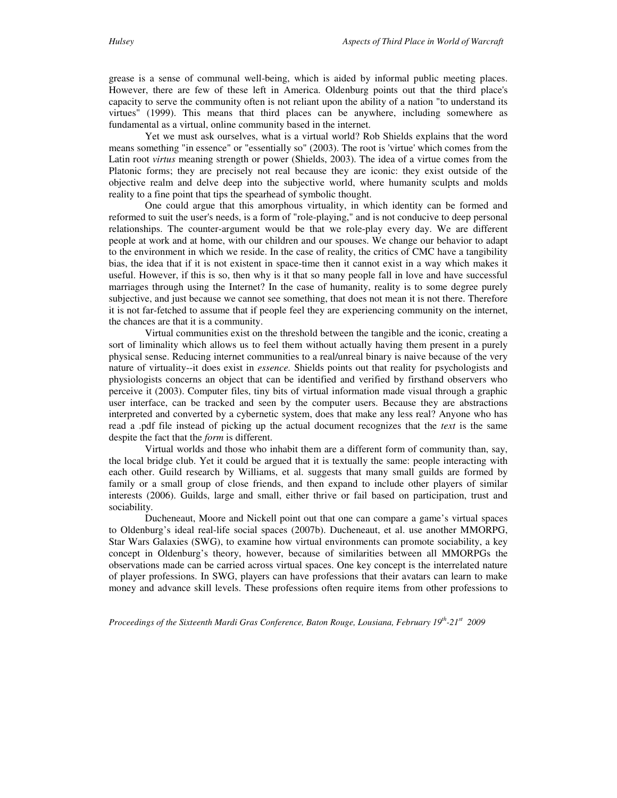grease is a sense of communal well-being, which is aided by informal public meeting places. However, there are few of these left in America. Oldenburg points out that the third place's capacity to serve the community often is not reliant upon the ability of a nation "to understand its virtues" (1999). This means that third places can be anywhere, including somewhere as fundamental as a virtual, online community based in the internet.

 Yet we must ask ourselves, what is a virtual world? Rob Shields explains that the word means something "in essence" or "essentially so" (2003). The root is 'virtue' which comes from the Latin root *virtus* meaning strength or power (Shields, 2003). The idea of a virtue comes from the Platonic forms; they are precisely not real because they are iconic: they exist outside of the objective realm and delve deep into the subjective world, where humanity sculpts and molds reality to a fine point that tips the spearhead of symbolic thought.

 One could argue that this amorphous virtuality, in which identity can be formed and reformed to suit the user's needs, is a form of "role-playing," and is not conducive to deep personal relationships. The counter-argument would be that we role-play every day. We are different people at work and at home, with our children and our spouses. We change our behavior to adapt to the environment in which we reside. In the case of reality, the critics of CMC have a tangibility bias, the idea that if it is not existent in space-time then it cannot exist in a way which makes it useful. However, if this is so, then why is it that so many people fall in love and have successful marriages through using the Internet? In the case of humanity, reality is to some degree purely subjective, and just because we cannot see something, that does not mean it is not there. Therefore it is not far-fetched to assume that if people feel they are experiencing community on the internet, the chances are that it is a community.

 Virtual communities exist on the threshold between the tangible and the iconic, creating a sort of liminality which allows us to feel them without actually having them present in a purely physical sense. Reducing internet communities to a real/unreal binary is naive because of the very nature of virtuality--it does exist in *essence.* Shields points out that reality for psychologists and physiologists concerns an object that can be identified and verified by firsthand observers who perceive it (2003). Computer files, tiny bits of virtual information made visual through a graphic user interface, can be tracked and seen by the computer users. Because they are abstractions interpreted and converted by a cybernetic system, does that make any less real? Anyone who has read a .pdf file instead of picking up the actual document recognizes that the *text* is the same despite the fact that the *form* is different.

 Virtual worlds and those who inhabit them are a different form of community than, say, the local bridge club. Yet it could be argued that it is textually the same: people interacting with each other. Guild research by Williams, et al. suggests that many small guilds are formed by family or a small group of close friends, and then expand to include other players of similar interests (2006). Guilds, large and small, either thrive or fail based on participation, trust and sociability.

 Ducheneaut, Moore and Nickell point out that one can compare a game's virtual spaces to Oldenburg's ideal real-life social spaces (2007b). Ducheneaut, et al. use another MMORPG, Star Wars Galaxies (SWG), to examine how virtual environments can promote sociability, a key concept in Oldenburg's theory, however, because of similarities between all MMORPGs the observations made can be carried across virtual spaces. One key concept is the interrelated nature of player professions. In SWG, players can have professions that their avatars can learn to make money and advance skill levels. These professions often require items from other professions to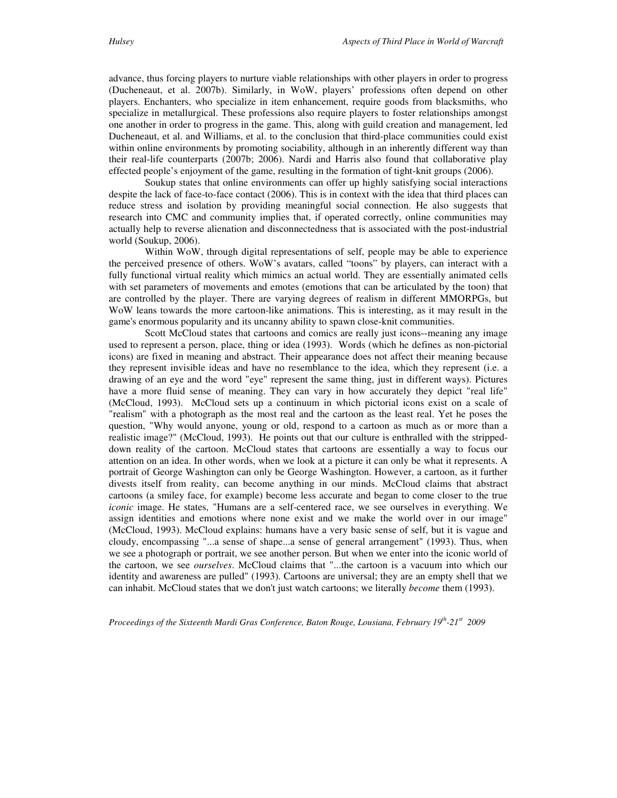advance, thus forcing players to nurture viable relationships with other players in order to progress (Ducheneaut, et al. 2007b). Similarly, in WoW, players' professions often depend on other players. Enchanters, who specialize in item enhancement, require goods from blacksmiths, who specialize in metallurgical. These professions also require players to foster relationships amongst one another in order to progress in the game. This, along with guild creation and management, led Ducheneaut, et al. and Williams, et al. to the conclusion that third-place communities could exist within online environments by promoting sociability, although in an inherently different way than their real-life counterparts (2007b; 2006). Nardi and Harris also found that collaborative play effected people's enjoyment of the game, resulting in the formation of tight-knit groups (2006).

 Soukup states that online environments can offer up highly satisfying social interactions despite the lack of face-to-face contact (2006). This is in context with the idea that third places can reduce stress and isolation by providing meaningful social connection. He also suggests that research into CMC and community implies that, if operated correctly, online communities may actually help to reverse alienation and disconnectedness that is associated with the post-industrial world (Soukup, 2006).

 Within WoW, through digital representations of self, people may be able to experience the perceived presence of others. WoW's avatars, called "toons" by players, can interact with a fully functional virtual reality which mimics an actual world. They are essentially animated cells with set parameters of movements and emotes (emotions that can be articulated by the toon) that are controlled by the player. There are varying degrees of realism in different MMORPGs, but WoW leans towards the more cartoon-like animations. This is interesting, as it may result in the game's enormous popularity and its uncanny ability to spawn close-knit communities.

 Scott McCloud states that cartoons and comics are really just icons--meaning any image used to represent a person, place, thing or idea (1993). Words (which he defines as non-pictorial icons) are fixed in meaning and abstract. Their appearance does not affect their meaning because they represent invisible ideas and have no resemblance to the idea, which they represent (i.e. a drawing of an eye and the word "eye" represent the same thing, just in different ways). Pictures have a more fluid sense of meaning. They can vary in how accurately they depict "real life" (McCloud, 1993). McCloud sets up a continuum in which pictorial icons exist on a scale of "realism" with a photograph as the most real and the cartoon as the least real. Yet he poses the question, "Why would anyone, young or old, respond to a cartoon as much as or more than a realistic image?" (McCloud, 1993). He points out that our culture is enthralled with the strippeddown reality of the cartoon. McCloud states that cartoons are essentially a way to focus our attention on an idea. In other words, when we look at a picture it can only be what it represents. A portrait of George Washington can only be George Washington. However, a cartoon, as it further divests itself from reality, can become anything in our minds. McCloud claims that abstract cartoons (a smiley face, for example) become less accurate and began to come closer to the true *iconic* image. He states, "Humans are a self-centered race, we see ourselves in everything. We assign identities and emotions where none exist and we make the world over in our image" (McCloud, 1993). McCloud explains: humans have a very basic sense of self, but it is vague and cloudy, encompassing "...a sense of shape...a sense of general arrangement" (1993). Thus, when we see a photograph or portrait, we see another person. But when we enter into the iconic world of the cartoon, we see *ourselves*. McCloud claims that "...the cartoon is a vacuum into which our identity and awareness are pulled" (1993). Cartoons are universal; they are an empty shell that we can inhabit. McCloud states that we don't just watch cartoons; we literally *become* them (1993).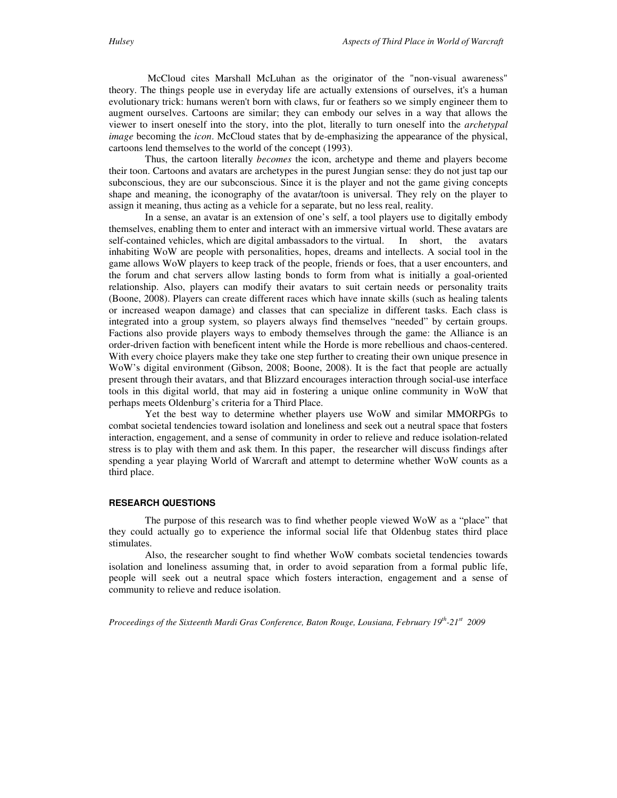cartoons lend themselves to the world of the concept (1993).

 Thus, the cartoon literally *becomes* the icon, archetype and theme and players become their toon. Cartoons and avatars are archetypes in the purest Jungian sense: they do not just tap our subconscious, they are our subconscious. Since it is the player and not the game giving concepts shape and meaning, the iconography of the avatar/toon is universal. They rely on the player to assign it meaning, thus acting as a vehicle for a separate, but no less real, reality.

 In a sense, an avatar is an extension of one's self, a tool players use to digitally embody themselves, enabling them to enter and interact with an immersive virtual world. These avatars are self-contained vehicles, which are digital ambassadors to the virtual. In short, the avatars inhabiting WoW are people with personalities, hopes, dreams and intellects. A social tool in the game allows WoW players to keep track of the people, friends or foes, that a user encounters, and the forum and chat servers allow lasting bonds to form from what is initially a goal-oriented relationship. Also, players can modify their avatars to suit certain needs or personality traits (Boone, 2008). Players can create different races which have innate skills (such as healing talents or increased weapon damage) and classes that can specialize in different tasks. Each class is integrated into a group system, so players always find themselves "needed" by certain groups. Factions also provide players ways to embody themselves through the game: the Alliance is an order-driven faction with beneficent intent while the Horde is more rebellious and chaos-centered. With every choice players make they take one step further to creating their own unique presence in WoW's digital environment (Gibson, 2008; Boone, 2008). It is the fact that people are actually present through their avatars, and that Blizzard encourages interaction through social-use interface tools in this digital world, that may aid in fostering a unique online community in WoW that perhaps meets Oldenburg's criteria for a Third Place.

 Yet the best way to determine whether players use WoW and similar MMORPGs to combat societal tendencies toward isolation and loneliness and seek out a neutral space that fosters interaction, engagement, and a sense of community in order to relieve and reduce isolation-related stress is to play with them and ask them. In this paper, the researcher will discuss findings after spending a year playing World of Warcraft and attempt to determine whether WoW counts as a third place.

#### **RESEARCH QUESTIONS**

The purpose of this research was to find whether people viewed WoW as a "place" that they could actually go to experience the informal social life that Oldenbug states third place stimulates.

 Also, the researcher sought to find whether WoW combats societal tendencies towards isolation and loneliness assuming that, in order to avoid separation from a formal public life, people will seek out a neutral space which fosters interaction, engagement and a sense of community to relieve and reduce isolation.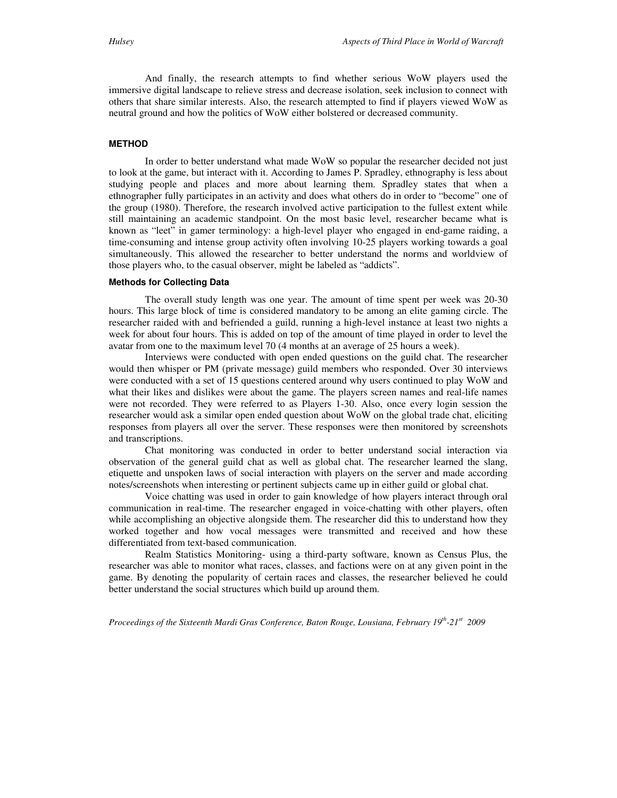And finally, the research attempts to find whether serious WoW players used the immersive digital landscape to relieve stress and decrease isolation, seek inclusion to connect with others that share similar interests. Also, the research attempted to find if players viewed WoW as neutral ground and how the politics of WoW either bolstered or decreased community.

#### **METHOD**

In order to better understand what made WoW so popular the researcher decided not just to look at the game, but interact with it. According to James P. Spradley, ethnography is less about studying people and places and more about learning them. Spradley states that when a ethnographer fully participates in an activity and does what others do in order to "become" one of the group (1980). Therefore, the research involved active participation to the fullest extent while still maintaining an academic standpoint. On the most basic level, researcher became what is known as "leet" in gamer terminology: a high-level player who engaged in end-game raiding, a time-consuming and intense group activity often involving 10-25 players working towards a goal simultaneously. This allowed the researcher to better understand the norms and worldview of those players who, to the casual observer, might be labeled as "addicts".

#### **Methods for Collecting Data**

The overall study length was one year. The amount of time spent per week was 20-30 hours. This large block of time is considered mandatory to be among an elite gaming circle. The researcher raided with and befriended a guild, running a high-level instance at least two nights a week for about four hours. This is added on top of the amount of time played in order to level the avatar from one to the maximum level 70 (4 months at an average of 25 hours a week).

 Interviews were conducted with open ended questions on the guild chat. The researcher would then whisper or PM (private message) guild members who responded. Over 30 interviews were conducted with a set of 15 questions centered around why users continued to play WoW and what their likes and dislikes were about the game. The players screen names and real-life names were not recorded. They were referred to as Players 1-30. Also, once every login session the researcher would ask a similar open ended question about WoW on the global trade chat, eliciting responses from players all over the server. These responses were then monitored by screenshots and transcriptions.

 Chat monitoring was conducted in order to better understand social interaction via observation of the general guild chat as well as global chat. The researcher learned the slang, etiquette and unspoken laws of social interaction with players on the server and made according notes/screenshots when interesting or pertinent subjects came up in either guild or global chat.

 Voice chatting was used in order to gain knowledge of how players interact through oral communication in real-time. The researcher engaged in voice-chatting with other players, often while accomplishing an objective alongside them. The researcher did this to understand how they worked together and how vocal messages were transmitted and received and how these differentiated from text-based communication.

 Realm Statistics Monitoring- using a third-party software, known as Census Plus, the researcher was able to monitor what races, classes, and factions were on at any given point in the game. By denoting the popularity of certain races and classes, the researcher believed he could better understand the social structures which build up around them.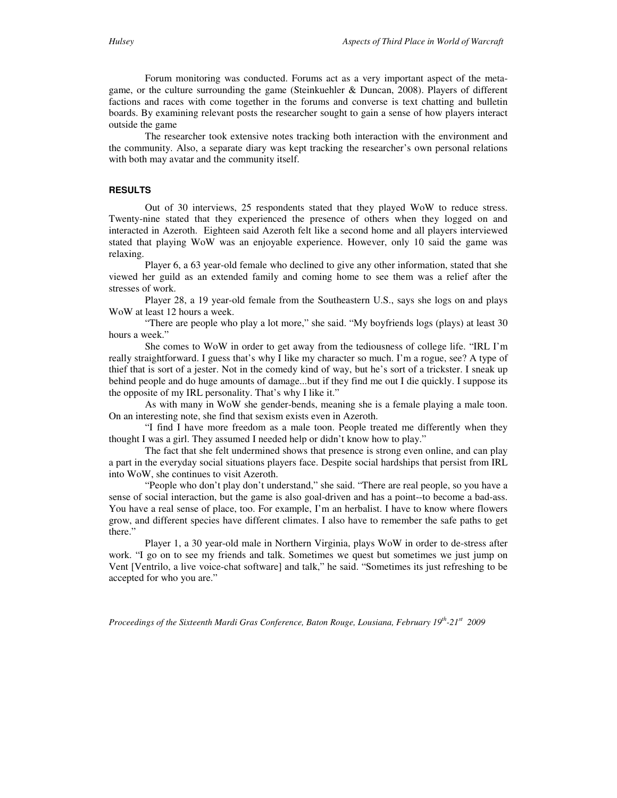Forum monitoring was conducted. Forums act as a very important aspect of the metagame, or the culture surrounding the game (Steinkuehler & Duncan, 2008). Players of different factions and races with come together in the forums and converse is text chatting and bulletin boards. By examining relevant posts the researcher sought to gain a sense of how players interact outside the game

 The researcher took extensive notes tracking both interaction with the environment and the community. Also, a separate diary was kept tracking the researcher's own personal relations with both may avatar and the community itself.

#### **RESULTS**

Out of 30 interviews, 25 respondents stated that they played WoW to reduce stress. Twenty-nine stated that they experienced the presence of others when they logged on and interacted in Azeroth. Eighteen said Azeroth felt like a second home and all players interviewed stated that playing WoW was an enjoyable experience. However, only 10 said the game was relaxing.

 Player 6, a 63 year-old female who declined to give any other information, stated that she viewed her guild as an extended family and coming home to see them was a relief after the stresses of work.

 Player 28, a 19 year-old female from the Southeastern U.S., says she logs on and plays WoW at least 12 hours a week.

 "There are people who play a lot more," she said. "My boyfriends logs (plays) at least 30 hours a week."

 She comes to WoW in order to get away from the tediousness of college life. "IRL I'm really straightforward. I guess that's why I like my character so much. I'm a rogue, see? A type of thief that is sort of a jester. Not in the comedy kind of way, but he's sort of a trickster. I sneak up behind people and do huge amounts of damage...but if they find me out I die quickly. I suppose its the opposite of my IRL personality. That's why I like it."

 As with many in WoW she gender-bends, meaning she is a female playing a male toon. On an interesting note, she find that sexism exists even in Azeroth.

 "I find I have more freedom as a male toon. People treated me differently when they thought I was a girl. They assumed I needed help or didn't know how to play."

 The fact that she felt undermined shows that presence is strong even online, and can play a part in the everyday social situations players face. Despite social hardships that persist from IRL into WoW, she continues to visit Azeroth.

 "People who don't play don't understand," she said. "There are real people, so you have a sense of social interaction, but the game is also goal-driven and has a point--to become a bad-ass. You have a real sense of place, too. For example, I'm an herbalist. I have to know where flowers grow, and different species have different climates. I also have to remember the safe paths to get there."

 Player 1, a 30 year-old male in Northern Virginia, plays WoW in order to de-stress after work. "I go on to see my friends and talk. Sometimes we quest but sometimes we just jump on Vent [Ventrilo, a live voice-chat software] and talk," he said. "Sometimes its just refreshing to be accepted for who you are."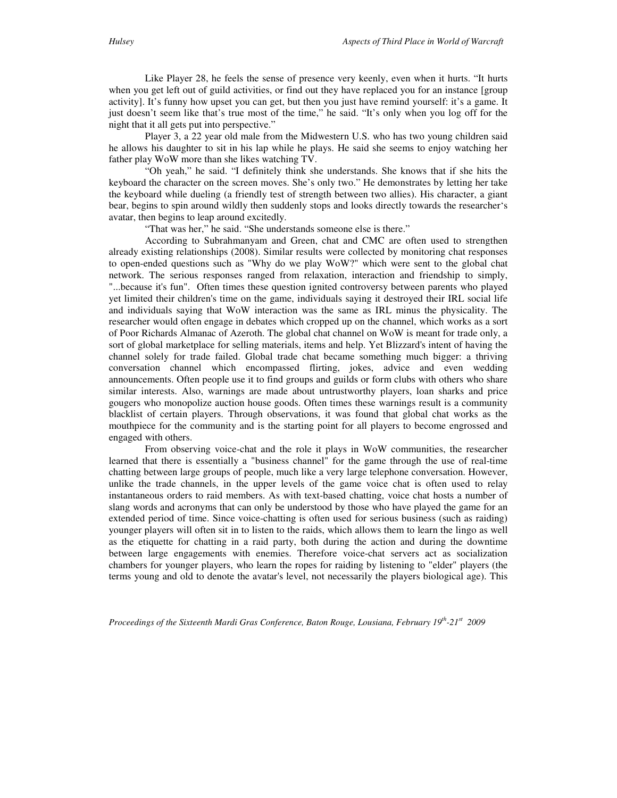Like Player 28, he feels the sense of presence very keenly, even when it hurts. "It hurts when you get left out of guild activities, or find out they have replaced you for an instance [group activity]. It's funny how upset you can get, but then you just have remind yourself: it's a game. It just doesn't seem like that's true most of the time," he said. "It's only when you log off for the night that it all gets put into perspective."

 Player 3, a 22 year old male from the Midwestern U.S. who has two young children said he allows his daughter to sit in his lap while he plays. He said she seems to enjoy watching her father play WoW more than she likes watching TV.

 "Oh yeah," he said. "I definitely think she understands. She knows that if she hits the keyboard the character on the screen moves. She's only two." He demonstrates by letting her take the keyboard while dueling (a friendly test of strength between two allies). His character, a giant bear, begins to spin around wildly then suddenly stops and looks directly towards the researcher's avatar, then begins to leap around excitedly.

"That was her," he said. "She understands someone else is there."

 According to Subrahmanyam and Green, chat and CMC are often used to strengthen already existing relationships (2008). Similar results were collected by monitoring chat responses to open-ended questions such as "Why do we play WoW?" which were sent to the global chat network. The serious responses ranged from relaxation, interaction and friendship to simply, "...because it's fun". Often times these question ignited controversy between parents who played yet limited their children's time on the game, individuals saying it destroyed their IRL social life and individuals saying that WoW interaction was the same as IRL minus the physicality. The researcher would often engage in debates which cropped up on the channel, which works as a sort of Poor Richards Almanac of Azeroth. The global chat channel on WoW is meant for trade only, a sort of global marketplace for selling materials, items and help. Yet Blizzard's intent of having the channel solely for trade failed. Global trade chat became something much bigger: a thriving conversation channel which encompassed flirting, jokes, advice and even wedding announcements. Often people use it to find groups and guilds or form clubs with others who share similar interests. Also, warnings are made about untrustworthy players, loan sharks and price gougers who monopolize auction house goods. Often times these warnings result is a community blacklist of certain players. Through observations, it was found that global chat works as the mouthpiece for the community and is the starting point for all players to become engrossed and engaged with others.

 From observing voice-chat and the role it plays in WoW communities, the researcher learned that there is essentially a "business channel" for the game through the use of real-time chatting between large groups of people, much like a very large telephone conversation. However, unlike the trade channels, in the upper levels of the game voice chat is often used to relay instantaneous orders to raid members. As with text-based chatting, voice chat hosts a number of slang words and acronyms that can only be understood by those who have played the game for an extended period of time. Since voice-chatting is often used for serious business (such as raiding) younger players will often sit in to listen to the raids, which allows them to learn the lingo as well as the etiquette for chatting in a raid party, both during the action and during the downtime between large engagements with enemies. Therefore voice-chat servers act as socialization chambers for younger players, who learn the ropes for raiding by listening to "elder" players (the terms young and old to denote the avatar's level, not necessarily the players biological age). This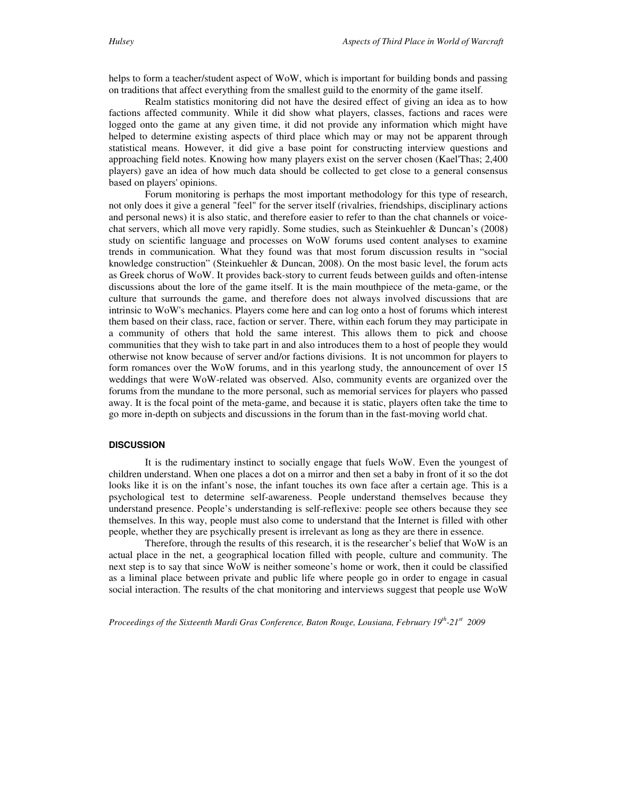helps to form a teacher/student aspect of WoW, which is important for building bonds and passing on traditions that affect everything from the smallest guild to the enormity of the game itself.

 Realm statistics monitoring did not have the desired effect of giving an idea as to how factions affected community. While it did show what players, classes, factions and races were logged onto the game at any given time, it did not provide any information which might have helped to determine existing aspects of third place which may or may not be apparent through statistical means. However, it did give a base point for constructing interview questions and approaching field notes. Knowing how many players exist on the server chosen (Kael'Thas; 2,400 players) gave an idea of how much data should be collected to get close to a general consensus based on players' opinions.

 Forum monitoring is perhaps the most important methodology for this type of research, not only does it give a general "feel" for the server itself (rivalries, friendships, disciplinary actions and personal news) it is also static, and therefore easier to refer to than the chat channels or voicechat servers, which all move very rapidly. Some studies, such as Steinkuehler & Duncan's (2008) study on scientific language and processes on WoW forums used content analyses to examine trends in communication. What they found was that most forum discussion results in "social knowledge construction" (Steinkuehler & Duncan, 2008). On the most basic level, the forum acts as Greek chorus of WoW. It provides back-story to current feuds between guilds and often-intense discussions about the lore of the game itself. It is the main mouthpiece of the meta-game, or the culture that surrounds the game, and therefore does not always involved discussions that are intrinsic to WoW's mechanics. Players come here and can log onto a host of forums which interest them based on their class, race, faction or server. There, within each forum they may participate in a community of others that hold the same interest. This allows them to pick and choose communities that they wish to take part in and also introduces them to a host of people they would otherwise not know because of server and/or factions divisions. It is not uncommon for players to form romances over the WoW forums, and in this yearlong study, the announcement of over 15 weddings that were WoW-related was observed. Also, community events are organized over the forums from the mundane to the more personal, such as memorial services for players who passed away. It is the focal point of the meta-game, and because it is static, players often take the time to go more in-depth on subjects and discussions in the forum than in the fast-moving world chat.

#### **DISCUSSION**

 It is the rudimentary instinct to socially engage that fuels WoW. Even the youngest of children understand. When one places a dot on a mirror and then set a baby in front of it so the dot looks like it is on the infant's nose, the infant touches its own face after a certain age. This is a psychological test to determine self-awareness. People understand themselves because they understand presence. People's understanding is self-reflexive: people see others because they see themselves. In this way, people must also come to understand that the Internet is filled with other people, whether they are psychically present is irrelevant as long as they are there in essence.

 Therefore, through the results of this research, it is the researcher's belief that WoW is an actual place in the net, a geographical location filled with people, culture and community. The next step is to say that since WoW is neither someone's home or work, then it could be classified as a liminal place between private and public life where people go in order to engage in casual social interaction. The results of the chat monitoring and interviews suggest that people use WoW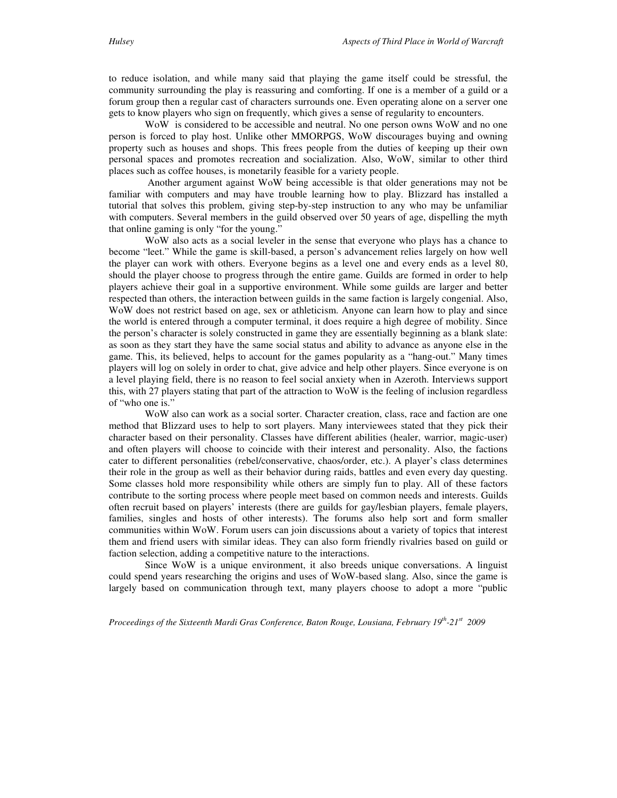to reduce isolation, and while many said that playing the game itself could be stressful, the community surrounding the play is reassuring and comforting. If one is a member of a guild or a forum group then a regular cast of characters surrounds one. Even operating alone on a server one gets to know players who sign on frequently, which gives a sense of regularity to encounters.

 WoW is considered to be accessible and neutral. No one person owns WoW and no one person is forced to play host. Unlike other MMORPGS, WoW discourages buying and owning property such as houses and shops. This frees people from the duties of keeping up their own personal spaces and promotes recreation and socialization. Also, WoW, similar to other third places such as coffee houses, is monetarily feasible for a variety people.

 Another argument against WoW being accessible is that older generations may not be familiar with computers and may have trouble learning how to play. Blizzard has installed a tutorial that solves this problem, giving step-by-step instruction to any who may be unfamiliar with computers. Several members in the guild observed over 50 years of age, dispelling the myth that online gaming is only "for the young."

 WoW also acts as a social leveler in the sense that everyone who plays has a chance to become "leet." While the game is skill-based, a person's advancement relies largely on how well the player can work with others. Everyone begins as a level one and every ends as a level 80, should the player choose to progress through the entire game. Guilds are formed in order to help players achieve their goal in a supportive environment. While some guilds are larger and better respected than others, the interaction between guilds in the same faction is largely congenial. Also, WoW does not restrict based on age, sex or athleticism. Anyone can learn how to play and since the world is entered through a computer terminal, it does require a high degree of mobility. Since the person's character is solely constructed in game they are essentially beginning as a blank slate: as soon as they start they have the same social status and ability to advance as anyone else in the game. This, its believed, helps to account for the games popularity as a "hang-out." Many times players will log on solely in order to chat, give advice and help other players. Since everyone is on a level playing field, there is no reason to feel social anxiety when in Azeroth. Interviews support this, with 27 players stating that part of the attraction to WoW is the feeling of inclusion regardless of "who one is."

 WoW also can work as a social sorter. Character creation, class, race and faction are one method that Blizzard uses to help to sort players. Many interviewees stated that they pick their character based on their personality. Classes have different abilities (healer, warrior, magic-user) and often players will choose to coincide with their interest and personality. Also, the factions cater to different personalities (rebel/conservative, chaos/order, etc.). A player's class determines their role in the group as well as their behavior during raids, battles and even every day questing. Some classes hold more responsibility while others are simply fun to play. All of these factors contribute to the sorting process where people meet based on common needs and interests. Guilds often recruit based on players' interests (there are guilds for gay/lesbian players, female players, families, singles and hosts of other interests). The forums also help sort and form smaller communities within WoW. Forum users can join discussions about a variety of topics that interest them and friend users with similar ideas. They can also form friendly rivalries based on guild or faction selection, adding a competitive nature to the interactions.

 Since WoW is a unique environment, it also breeds unique conversations. A linguist could spend years researching the origins and uses of WoW-based slang. Also, since the game is largely based on communication through text, many players choose to adopt a more "public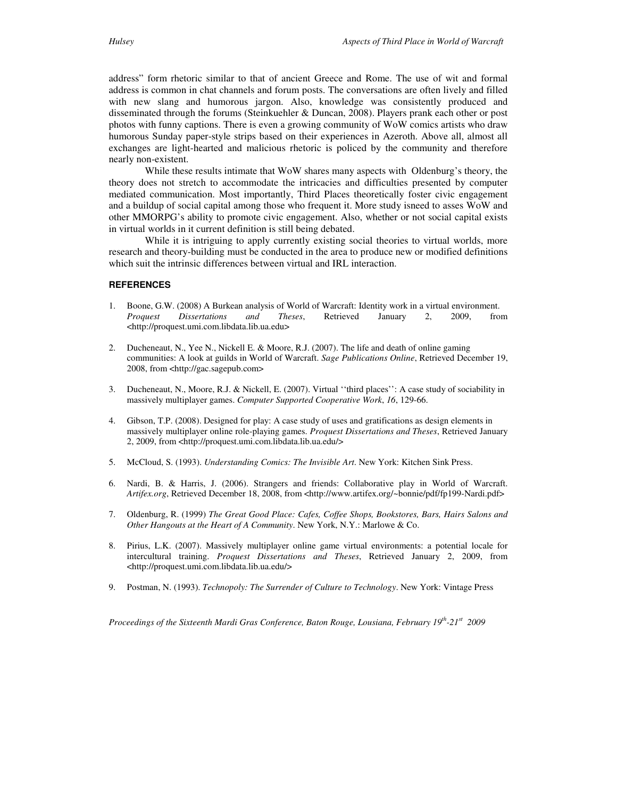address" form rhetoric similar to that of ancient Greece and Rome. The use of wit and formal address is common in chat channels and forum posts. The conversations are often lively and filled with new slang and humorous jargon. Also, knowledge was consistently produced and disseminated through the forums (Steinkuehler & Duncan, 2008). Players prank each other or post photos with funny captions. There is even a growing community of WoW comics artists who draw humorous Sunday paper-style strips based on their experiences in Azeroth. Above all, almost all exchanges are light-hearted and malicious rhetoric is policed by the community and therefore nearly non-existent.

 While these results intimate that WoW shares many aspects with Oldenburg's theory, the theory does not stretch to accommodate the intricacies and difficulties presented by computer mediated communication. Most importantly, Third Places theoretically foster civic engagement and a buildup of social capital among those who frequent it. More study isneed to asses WoW and other MMORPG's ability to promote civic engagement. Also, whether or not social capital exists in virtual worlds in it current definition is still being debated.

 While it is intriguing to apply currently existing social theories to virtual worlds, more research and theory-building must be conducted in the area to produce new or modified definitions which suit the intrinsic differences between virtual and IRL interaction.

#### **REFERENCES**

- 1. Boone, G.W. (2008) A Burkean analysis of World of Warcraft: Identity work in a virtual environment. *Proquest Dissertations and Theses*, Retrieved January 2, 2009, from <http://proquest.umi.com.libdata.lib.ua.edu>
- 2. Ducheneaut, N., Yee N., Nickell E. & Moore, R.J. (2007). The life and death of online gaming communities: A look at guilds in World of Warcraft. *Sage Publications Online*, Retrieved December 19, 2008, from <http://gac.sagepub.com>
- 3. Ducheneaut, N., Moore, R.J. & Nickell, E. (2007). Virtual ''third places'': A case study of sociability in massively multiplayer games. *Computer Supported Cooperative Work*, *16*, 129-66.
- 4. Gibson, T.P. (2008). Designed for play: A case study of uses and gratifications as design elements in massively multiplayer online role-playing games. *Proquest Dissertations and Theses*, Retrieved January 2, 2009, from <http://proquest.umi.com.libdata.lib.ua.edu/>
- 5. McCloud, S. (1993). *Understanding Comics: The Invisible Art*. New York: Kitchen Sink Press.
- 6. Nardi, B. & Harris, J. (2006). Strangers and friends: Collaborative play in World of Warcraft. *Artifex.org*, Retrieved December 18, 2008, from <http://www.artifex.org/~bonnie/pdf/fp199-Nardi.pdf>
- 7. Oldenburg, R. (1999) *The Great Good Place: Cafes, Coffee Shops, Bookstores, Bars, Hairs Salons and Other Hangouts at the Heart of A Community*. New York, N.Y.: Marlowe & Co.
- 8. Pirius, L.K. (2007). Massively multiplayer online game virtual environments: a potential locale for intercultural training. *Proquest Dissertations and Theses*, Retrieved January 2, 2009, from <http://proquest.umi.com.libdata.lib.ua.edu/>
- 9. Postman, N. (1993). *Technopoly: The Surrender of Culture to Technology*. New York: Vintage Press